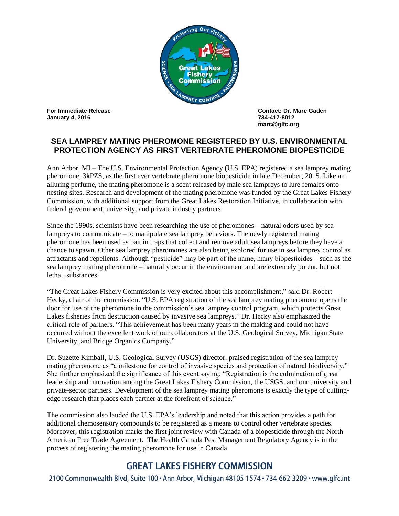

**January 4, 2016 734-417-8012**

**For Immediate Release Contact: Dr. Marc Gaden marc@glfc.org**

## **SEA LAMPREY MATING PHEROMONE REGISTERED BY U.S. ENVIRONMENTAL PROTECTION AGENCY AS FIRST VERTEBRATE PHEROMONE BIOPESTICIDE**

Ann Arbor, MI – The U.S. Environmental Protection Agency (U.S. EPA) registered a sea lamprey mating pheromone, 3kPZS, as the first ever vertebrate pheromone biopesticide in late December, 2015. Like an alluring perfume, the mating pheromone is a scent released by male sea lampreys to lure females onto nesting sites. Research and development of the mating pheromone was funded by the Great Lakes Fishery Commission, with additional support from the Great Lakes Restoration Initiative, in collaboration with federal government, university, and private industry partners.

Since the 1990s, scientists have been researching the use of pheromones – natural odors used by sea lampreys to communicate – to manipulate sea lamprey behaviors. The newly registered mating pheromone has been used as bait in traps that collect and remove adult sea lampreys before they have a chance to spawn. Other sea lamprey pheromones are also being explored for use in sea lamprey control as attractants and repellents. Although "pesticide" may be part of the name, many biopesticides – such as the sea lamprey mating pheromone – naturally occur in the environment and are extremely potent, but not lethal, substances.

"The Great Lakes Fishery Commission is very excited about this accomplishment," said Dr. Robert Hecky, chair of the commission. "U.S. EPA registration of the sea lamprey mating pheromone opens the door for use of the pheromone in the commission's sea lamprey control program, which protects Great Lakes fisheries from destruction caused by invasive sea lampreys." Dr. Hecky also emphasized the critical role of partners. "This achievement has been many years in the making and could not have occurred without the excellent work of our collaborators at the U.S. Geological Survey, Michigan State University, and Bridge Organics Company."

Dr. Suzette Kimball, U.S. Geological Survey (USGS) director, praised registration of the sea lamprey mating pheromone as "a milestone for control of invasive species and protection of natural biodiversity." She further emphasized the significance of this event saying, "Registration is the culmination of great leadership and innovation among the Great Lakes Fishery Commission, the USGS, and our university and private-sector partners. Development of the sea lamprey mating pheromone is exactly the type of cuttingedge research that places each partner at the forefront of science."

The commission also lauded the U.S. EPA's leadership and noted that this action provides a path for additional chemosensory compounds to be registered as a means to control other vertebrate species. Moreover, this registration marks the first joint review with Canada of a biopesticide through the North American Free Trade Agreement. The Health Canada Pest Management Regulatory Agency is in the process of registering the mating pheromone for use in Canada.

## **GREAT LAKES FISHERY COMMISSION**

2100 Commonwealth Blvd, Suite 100 · Ann Arbor, Michigan 48105-1574 · 734-662-3209 · www.glfc.int